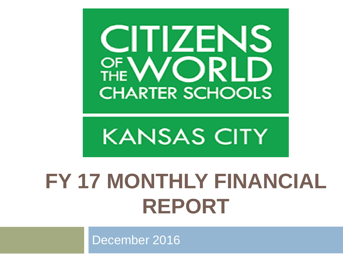

## **KANSAS CITY**

## **FY 17 MONTHLY FINANCIAL REPORT**

December 2016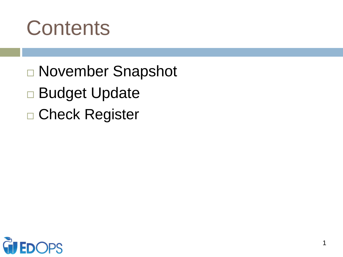

- November Snapshot Budget Update
- □ Check Register

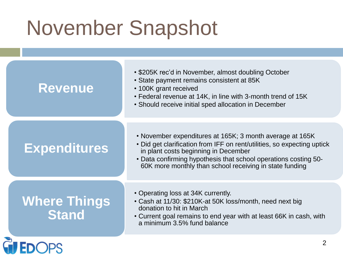## November Snapshot